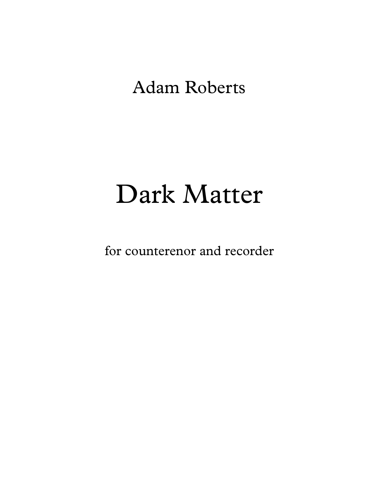# Adam Roberts

# Dark Matter

for counterenor and recorder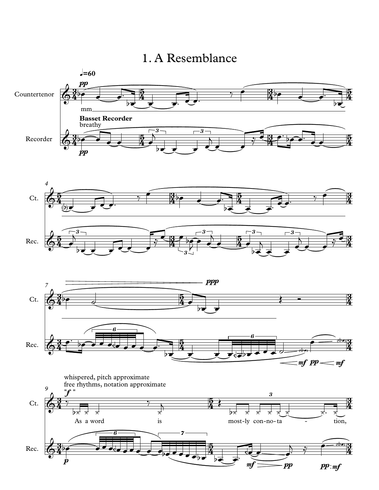## 1. A Resemblance







whispered, pitch approximate

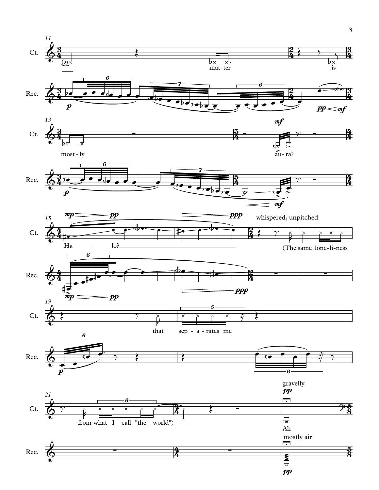

pp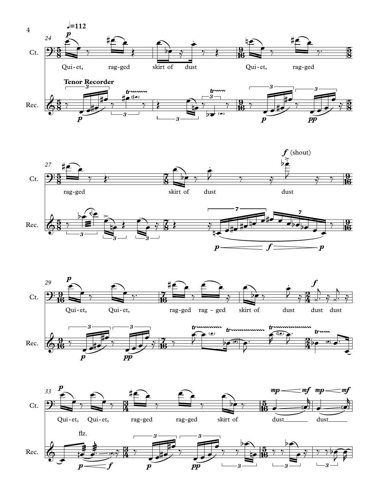





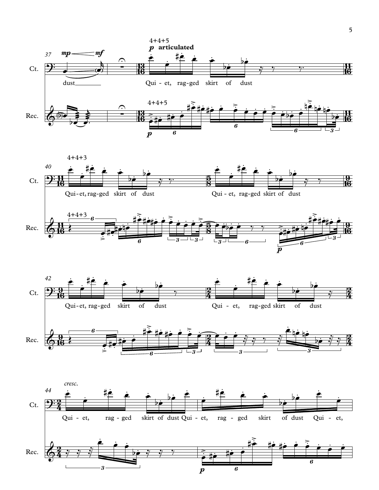





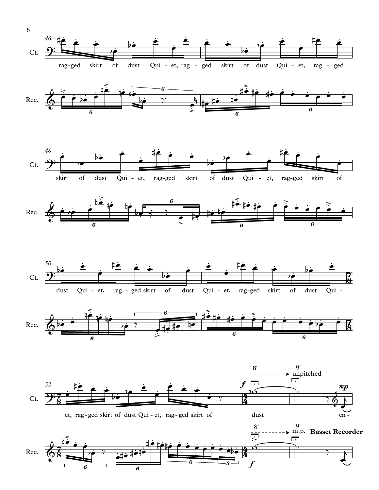





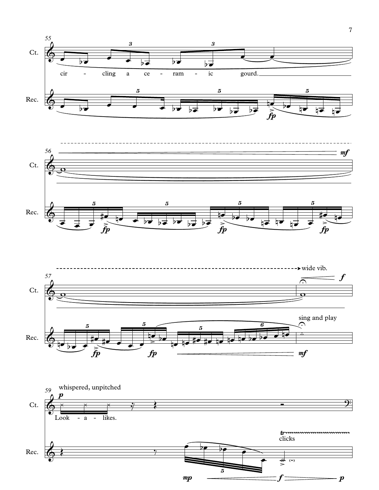

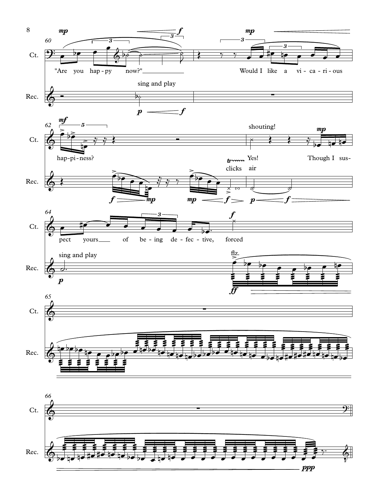

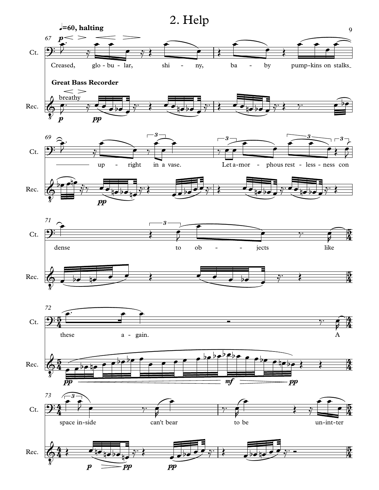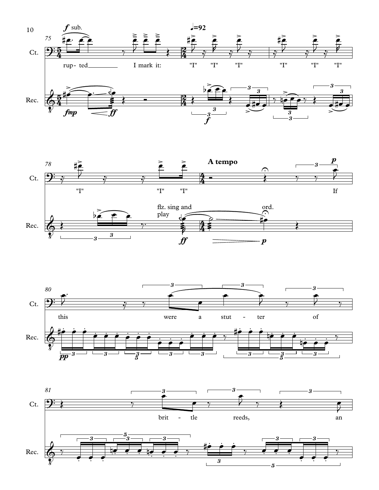





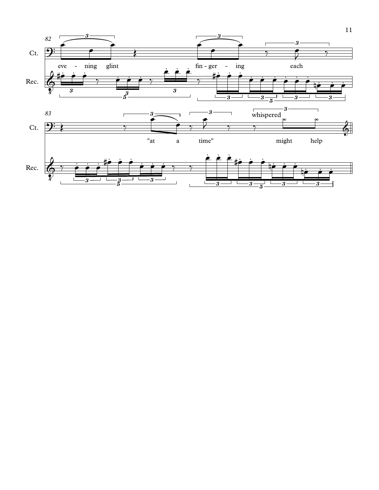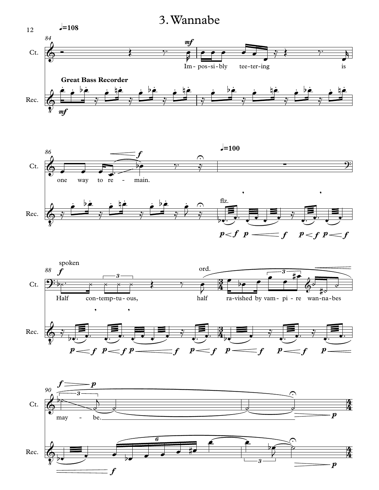





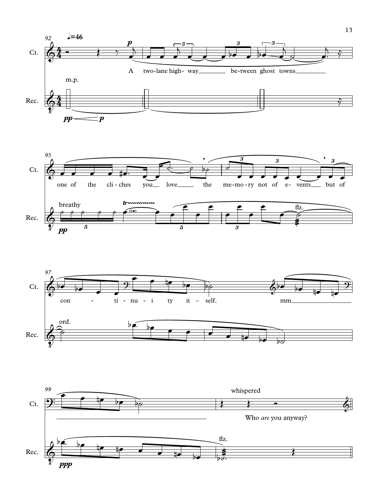





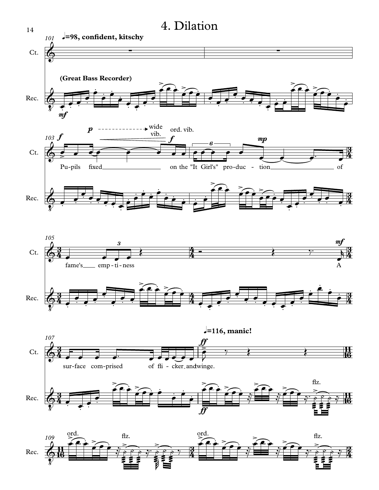

Rec.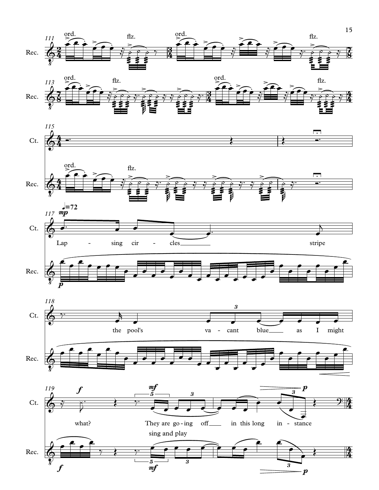









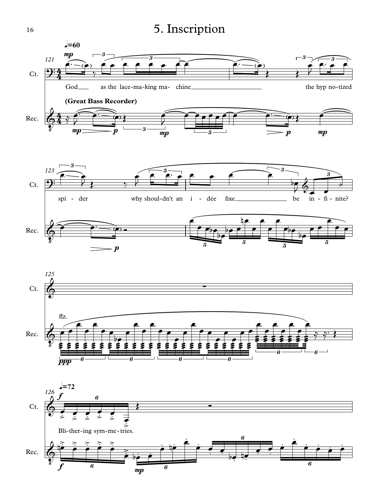### 5. Inscription



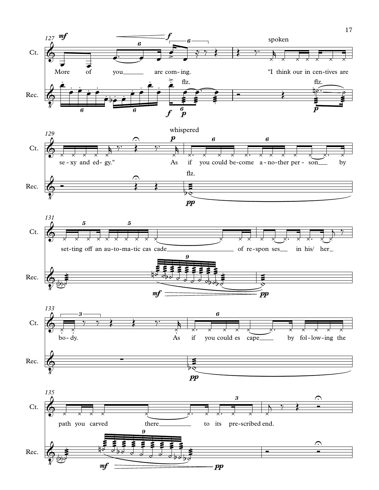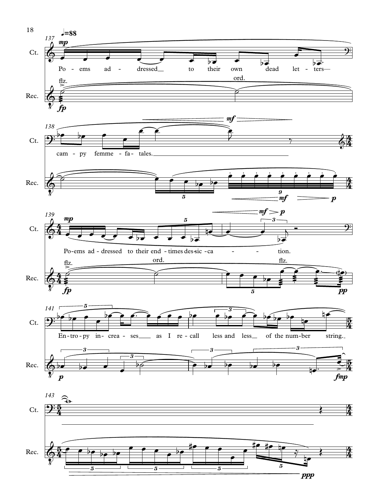

ppp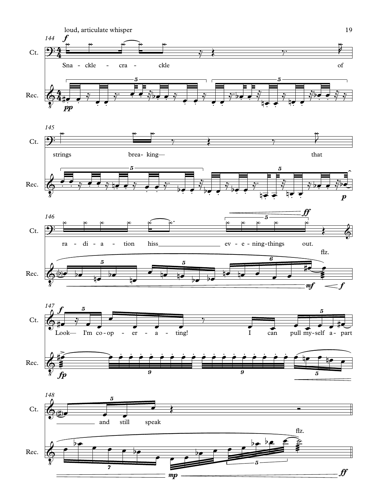







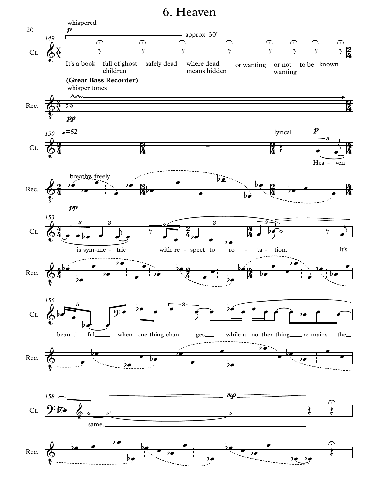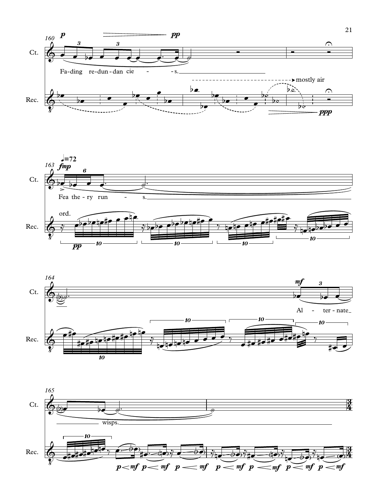





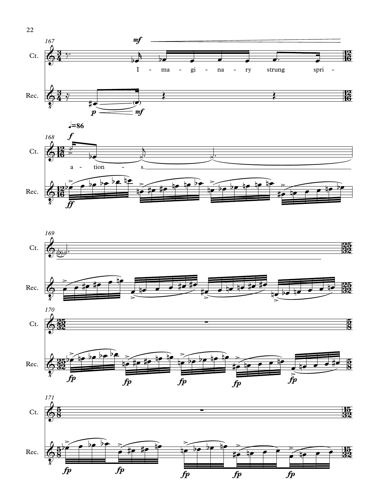







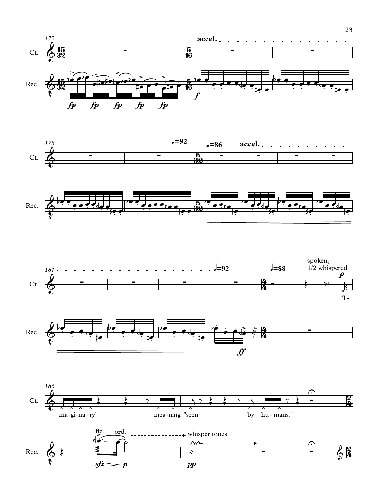





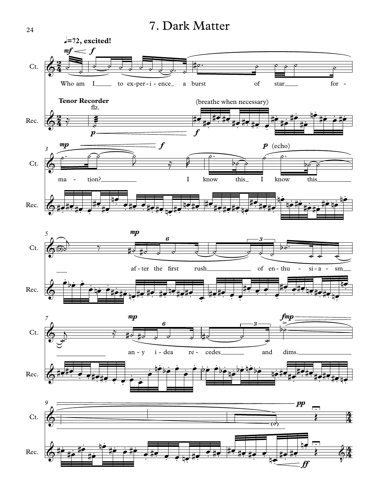### 7. Dark Matter

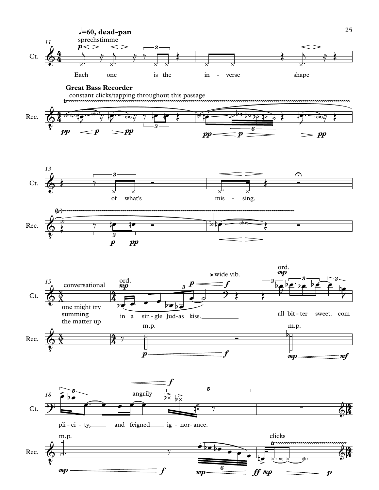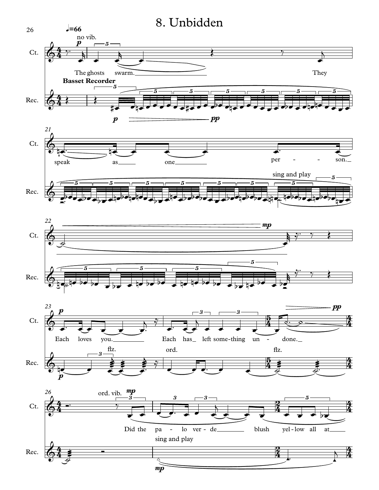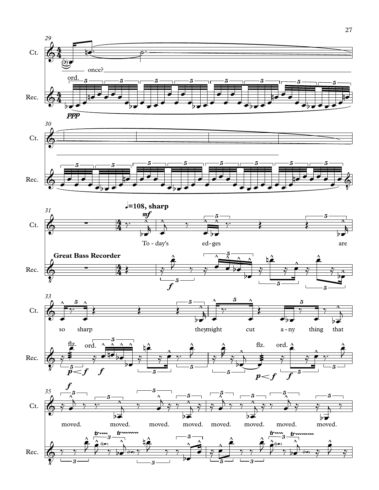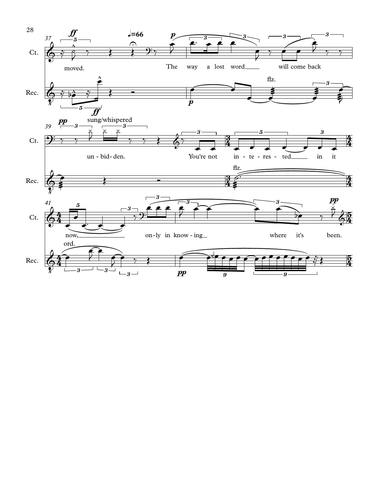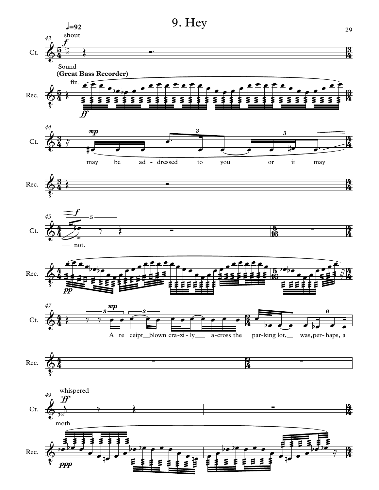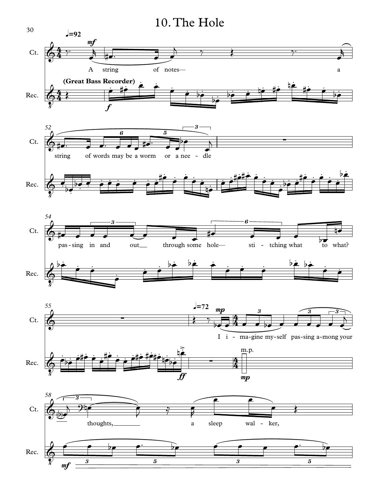10.The Hole